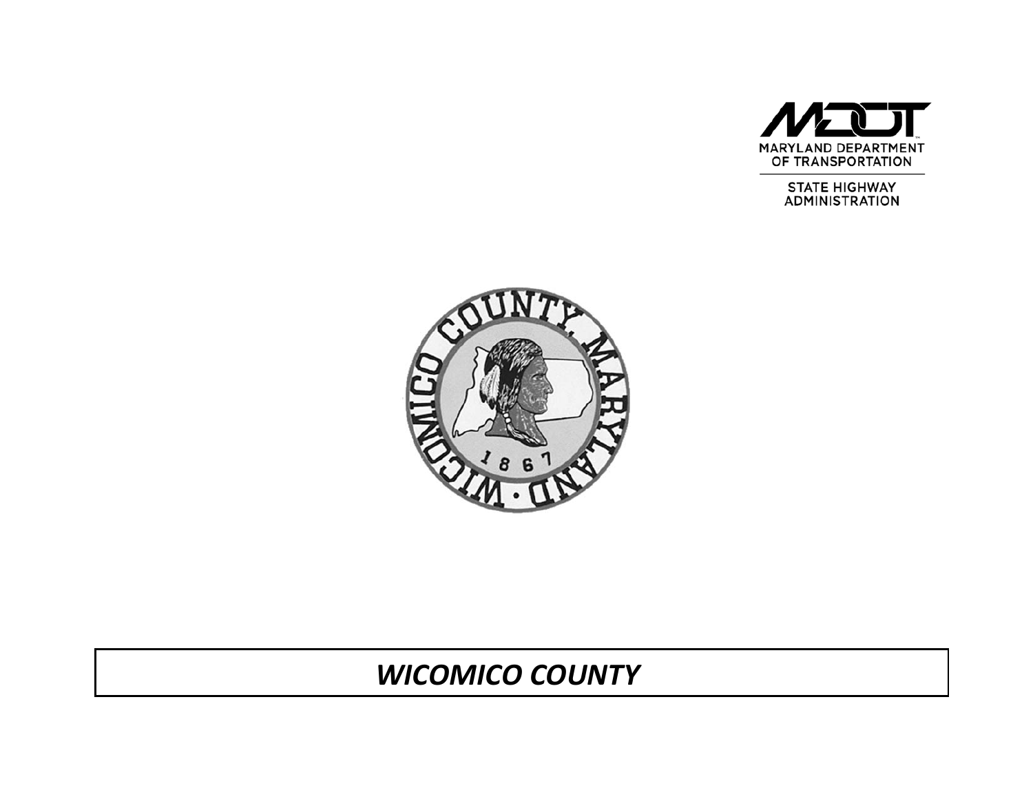

STATE HIGHWAY<br>ADMINISTRATION



# *WICOMICO COUNTY*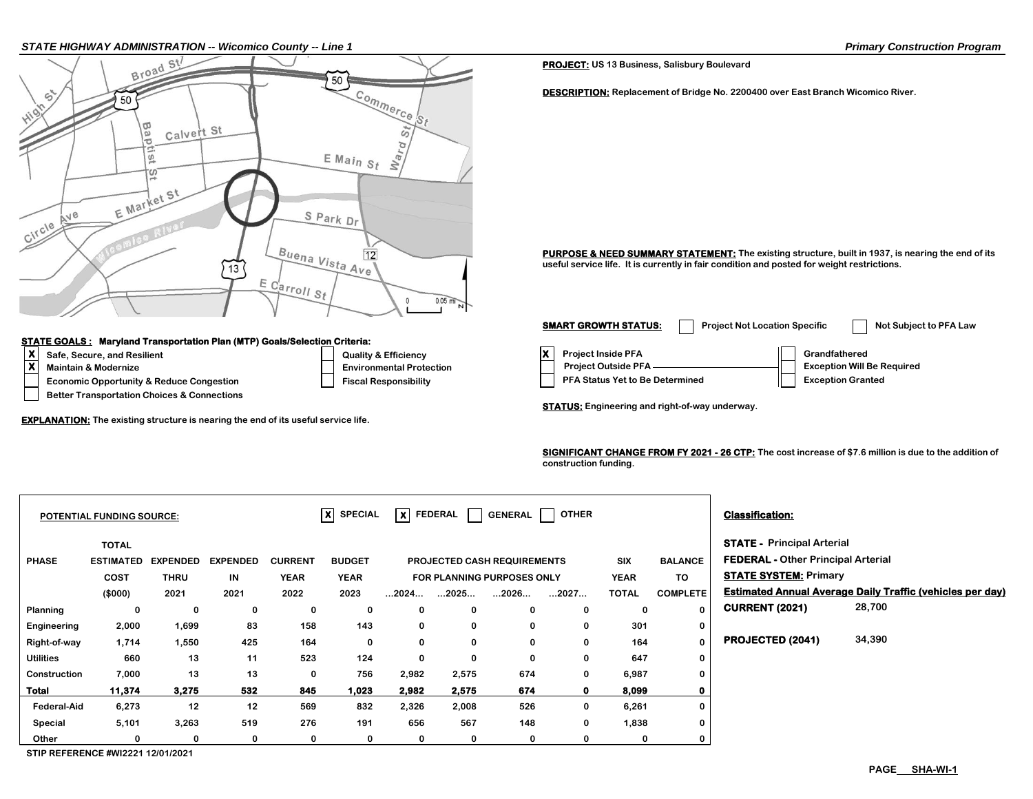#### *STATE HIGHWAY ADMINISTRATION -- Wicomico County -- Line 1 Primary Construction Program*



### **STATE GOALS : Maryland Transportation Plan (MTP) Goals/Selection Criteria:**

- 
- 

 **Better Transportation Choices & Connections**

**EXPLANATION: The existing structure is nearing the end of its useful service life.**

**PROJECT: US 13 Business, Salisbury Boulevard**

**DESCRIPTION: Replacement of Bridge No. 2200400 over East Branch Wicomico River.**

**PURPOSE & NEED SUMMARY STATEMENT:** The existing structure, built in 1937, is nearing the end of its **useful service life. It is currently in fair condition and posted for weight restrictions.**

**X**<br> **X** Safe, Secure, and Resilient Constant Construction Construction Construction Construction Construction Construction Construction Construction Construction Construction Construction Construction Construction Constru **Economic Opportunity & Reduce Congestion Fiscal Responsibility Fiscal Responsibility Responsibility Responsibility** Maintain & Modernize <u>Protection Business Departmental Protection</u> Project Outside PFA Exception Will Be Required **SMART GROWTH STATUS:** Project Not Location Specific Not Subject to PFA Law

**STATUS: Engineering and right-of-way underway.**

**SIGNIFICANT CHANGE FROM FY 2021 - 26 CTP: The cost increase of \$7.6 million is due to the addition of construction funding.** 

| $\overline{\mathsf{x}}$ SPECIAL<br>lxl<br><b>OTHER</b><br><b>FEDERAL</b><br>GENERAL<br><b>POTENTIAL FUNDING SOURCE:</b> |                  |                 |                 |                |               |                                                  |             |                |                                           | <b>Classification:</b>       |                 |                                   |                                                                  |
|-------------------------------------------------------------------------------------------------------------------------|------------------|-----------------|-----------------|----------------|---------------|--------------------------------------------------|-------------|----------------|-------------------------------------------|------------------------------|-----------------|-----------------------------------|------------------------------------------------------------------|
|                                                                                                                         | <b>TOTAL</b>     |                 |                 |                |               |                                                  |             |                |                                           |                              |                 | <b>STATE - Principal Arterial</b> |                                                                  |
| <b>PHASE</b>                                                                                                            | <b>ESTIMATED</b> | <b>EXPENDED</b> | <b>EXPENDED</b> | <b>CURRENT</b> | <b>BUDGET</b> | <b>SIX</b><br>PROJECTED CASH REQUIREMENTS        |             | <b>BALANCE</b> | <b>FEDERAL - Other Principal Arterial</b> |                              |                 |                                   |                                                                  |
|                                                                                                                         | <b>COST</b>      | <b>THRU</b>     | IN              | <b>YEAR</b>    | <b>YEAR</b>   | <b>YEAR</b><br><b>FOR PLANNING PURPOSES ONLY</b> |             |                | TO.                                       | <b>STATE SYSTEM: Primary</b> |                 |                                   |                                                                  |
|                                                                                                                         | (\$000)          | 2021            | 2021            | 2022           | 2023          | $\dots$ 2024 $\dots$                             | 2025        | 2026           | 2027                                      | <b>TOTAL</b>                 | <b>COMPLETE</b> |                                   | <b>Estimated Annual Average Daily Traffic (vehicles per day)</b> |
| Planning                                                                                                                | 0                | 0               | 0               | 0              | 0             | 0                                                | 0           |                | 0                                         | 0                            | $\mathbf 0$     | <b>CURRENT (2021)</b>             | 28,700                                                           |
| Engineering                                                                                                             | 2,000            | 1,699           | 83              | 158            | 143           | 0                                                | 0           | 0              | 0                                         | 301                          | 0               |                                   |                                                                  |
| Right-of-way                                                                                                            | 1,714            | 1,550           | 425             | 164            | 0             | 0                                                | $\bf{0}$    | 0              | 0                                         | 164                          | $\mathbf 0$     | PROJECTED (2041)                  | 34,390                                                           |
| <b>Utilities</b>                                                                                                        | 660              | 13              | 11              | 523            | 124           | 0                                                | $\mathbf 0$ | 0              | 0                                         | 647                          | $\bf{0}$        |                                   |                                                                  |
| Construction                                                                                                            | 7,000            | 13              | 13              | 0              | 756           | 2,982                                            | 2,575       | 674            | 0                                         | 6,987                        | $\bf{0}$        |                                   |                                                                  |
| Total                                                                                                                   | 11,374           | 3,275           | 532             | 845            | 1,023         | 2,982                                            | 2,575       | 674            | $\mathbf{0}$                              | 8,099                        | 0               |                                   |                                                                  |
| <b>Federal-Aid</b>                                                                                                      | 6,273            | 12              | 12              | 569            | 832           | 2,326                                            | 2,008       | 526            | 0                                         | 6,261                        | $\bf{0}$        |                                   |                                                                  |
| Special                                                                                                                 | 5,101            | 3,263           | 519             | 276            | 191           | 656                                              | 567         | 148            | 0                                         | 1,838                        | 0               |                                   |                                                                  |
| Other                                                                                                                   |                  | 0               |                 | 0              | $\bf{0}$      | $\bf{0}$                                         | $\mathbf 0$ |                |                                           | $\Omega$                     | 0               |                                   |                                                                  |

**STIP REFERENCE #WI2221 12/01/2021**